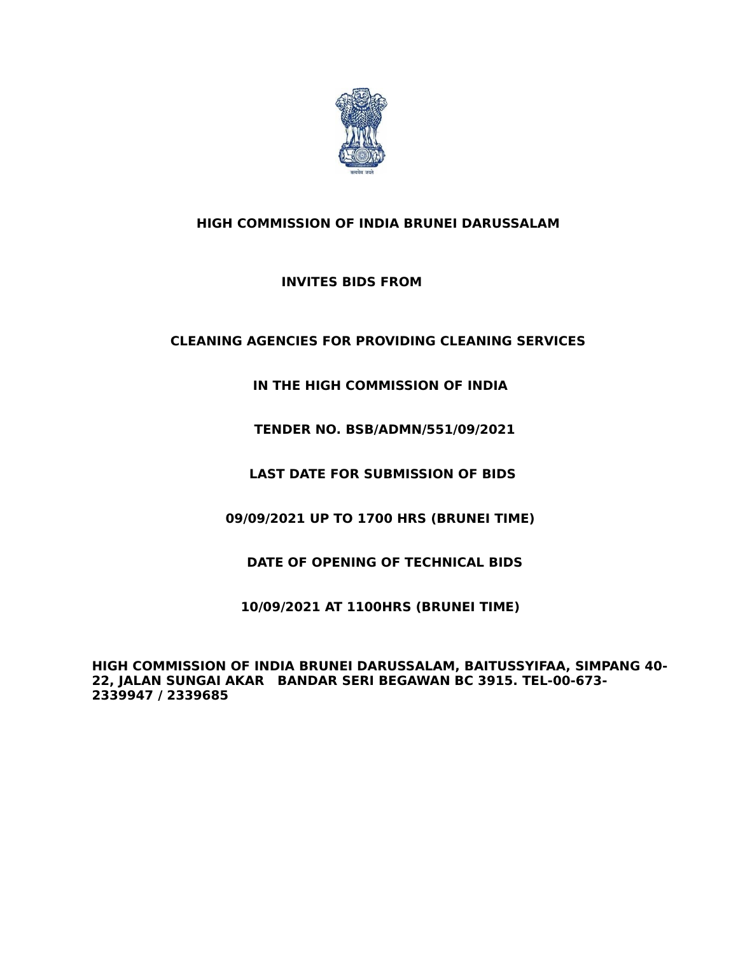

# **HIGH COMMISSION OF INDIA BRUNEI DARUSSALAM**

# **INVITES BIDS FROM**

# **CLEANING AGENCIES FOR PROVIDING CLEANING SERVICES**

**IN THE HIGH COMMISSION OF INDIA**

 **TENDER NO. BSB/ADMN/551/09/2021**

**LAST DATE FOR SUBMISSION OF BIDS**

 **09/09/2021 UP TO 1700 HRS (BRUNEI TIME)** 

 **DATE OF OPENING OF TECHNICAL BIDS**

**10/09/2021 AT 1100HRS (BRUNEI TIME)**

**HIGH COMMISSION OF INDIA BRUNEI DARUSSALAM, BAITUSSYIFAA, SIMPANG 40- 22, JALAN SUNGAI AKAR BANDAR SERI BEGAWAN BC 3915. TEL-00-673- 2339947 / 2339685**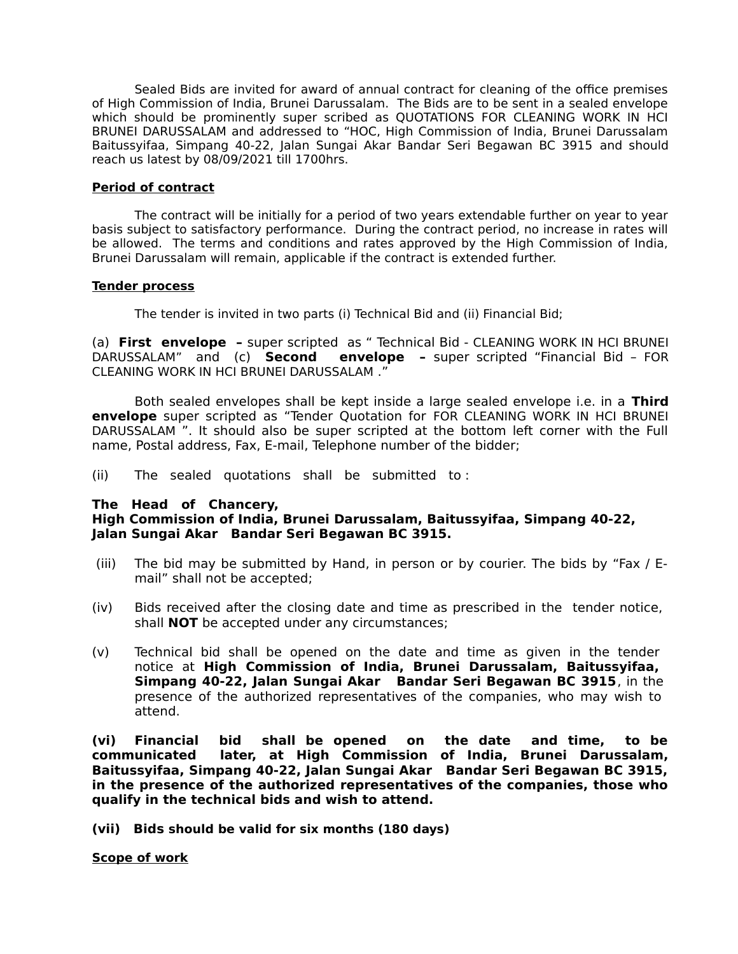Sealed Bids are invited for award of annual contract for cleaning of the office premises of High Commission of India, Brunei Darussalam. The Bids are to be sent in a sealed envelope which should be prominently super scribed as QUOTATIONS FOR CLEANING WORK IN HCI BRUNEI DARUSSALAM and addressed to "HOC, High Commission of India, Brunei Darussalam Baitussyifaa, Simpang 40-22, Jalan Sungai Akar Bandar Seri Begawan BC 3915 and should reach us latest by 08/09/2021 till 1700hrs.

## **Period of contract**

The contract will be initially for a period of two years extendable further on year to year basis subject to satisfactory performance. During the contract period, no increase in rates will be allowed. The terms and conditions and rates approved by the High Commission of India, Brunei Darussalam will remain, applicable if the contract is extended further.

## **Tender process**

The tender is invited in two parts (i) Technical Bid and (ii) Financial Bid;

(a) **First envelope –** super scripted as " Technical Bid - CLEANING WORK IN HCI BRUNEI DARUSSALAM" and (c) **Second envelope –** super scripted "Financial Bid – FOR CLEANING WORK IN HCI BRUNEI DARUSSALAM ."

Both sealed envelopes shall be kept inside a large sealed envelope i.e. in a **Third envelope** super scripted as "Tender Quotation for FOR CLEANING WORK IN HCI BRUNEI DARUSSALAM ". It should also be super scripted at the bottom left corner with the Full name, Postal address, Fax, E-mail, Telephone number of the bidder;

(ii) The sealed quotations shall be submitted to :

## **The Head of Chancery,**

# **High Commission of India, Brunei Darussalam, Baitussyifaa, Simpang 40-22, Jalan Sungai Akar Bandar Seri Begawan BC 3915.**

- (iii) The bid may be submitted by Hand, in person or by courier. The bids by "Fax / Email" shall not be accepted;
- (iv) Bids received after the closing date and time as prescribed in the tender notice, shall **NOT** be accepted under any circumstances;
- (v) Technical bid shall be opened on the date and time as given in the tender notice at **High Commission of India, Brunei Darussalam, Baitussyifaa, Simpang 40-22, Jalan Sungai Akar Bandar Seri Begawan BC 3915**, in the presence of the authorized representatives of the companies, who may wish to attend.

**(vi) Financial bid shall be opened on the date and time, to be communicated later, at High Commission of India, Brunei Darussalam, Baitussyifaa, Simpang 40-22, Jalan Sungai Akar Bandar Seri Begawan BC 3915, in the presence of the authorized representatives of the companies, those who qualify in the technical bids and wish to attend.**

**(vii) Bids should be valid for six months (180 days)**

**Scope of work**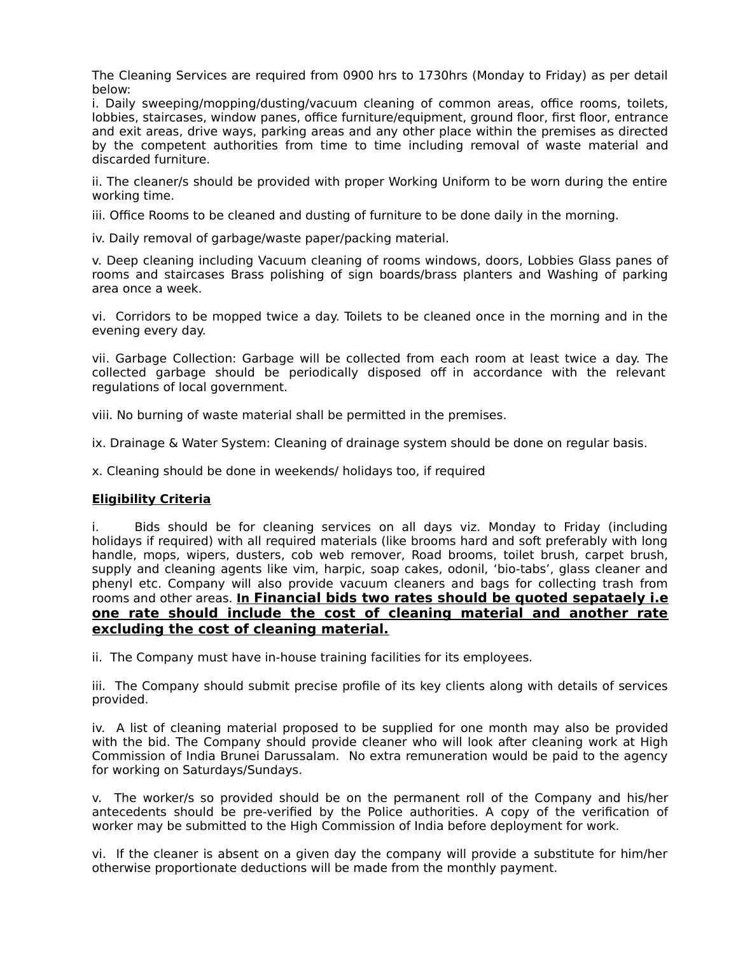The Cleaning Services are required from 0900 hrs to 1730hrs (Monday to Friday) as per detail below:

i. Daily sweeping/mopping/dusting/vacuum cleaning of common areas, office rooms, toilets, lobbies, staircases, window panes, office furniture/equipment, ground floor, first floor, entrance and exit areas, drive ways, parking areas and any other place within the premises as directed by the competent authorities from time to time including removal of waste material and discarded furniture.

ii. The cleaner/s should be provided with proper Working Uniform to be worn during the entire working time.

iii. Office Rooms to be cleaned and dusting of furniture to be done daily in the morning.

iv. Daily removal of garbage/waste paper/packing material.

v. Deep cleaning including Vacuum cleaning of rooms windows, doors, Lobbies Glass panes of rooms and staircases Brass polishing of sign boards/brass planters and Washing of parking area once a week.

vi. Corridors to be mopped twice a day. Toilets to be cleaned once in the morning and in the evening every day.

vii. Garbage Collection: Garbage will be collected from each room at least twice a day. The collected garbage should be periodically disposed off in accordance with the relevant regulations of local government.

viii. No burning of waste material shall be permitted in the premises.

ix. Drainage & Water System: Cleaning of drainage system should be done on regular basis.

x. Cleaning should be done in weekends/ holidays too, if required

## **Eligibility Criteria**

i. Bids should be for cleaning services on all days viz. Monday to Friday (including holidays if required) with all required materials (like brooms hard and soft preferably with long handle, mops, wipers, dusters, cob web remover, Road brooms, toilet brush, carpet brush, supply and cleaning agents like vim, harpic, soap cakes, odonil, 'bio-tabs', glass cleaner and phenyl etc. Company will also provide vacuum cleaners and bags for collecting trash from rooms and other areas. **In Financial bids two rates should be quoted sepataely i.e one rate should include the cost of cleaning material and another rate excluding the cost of cleaning material.**

ii. The Company must have in-house training facilities for its employees.

iii. The Company should submit precise profile of its key clients along with details of services provided.

iv. A list of cleaning material proposed to be supplied for one month may also be provided with the bid. The Company should provide cleaner who will look after cleaning work at High Commission of India Brunei Darussalam. No extra remuneration would be paid to the agency for working on Saturdays/Sundays.

v. The worker/s so provided should be on the permanent roll of the Company and his/her antecedents should be pre-verified by the Police authorities. A copy of the verification of worker may be submitted to the High Commission of India before deployment for work.

vi. If the cleaner is absent on a given day the company will provide a substitute for him/her otherwise proportionate deductions will be made from the monthly payment.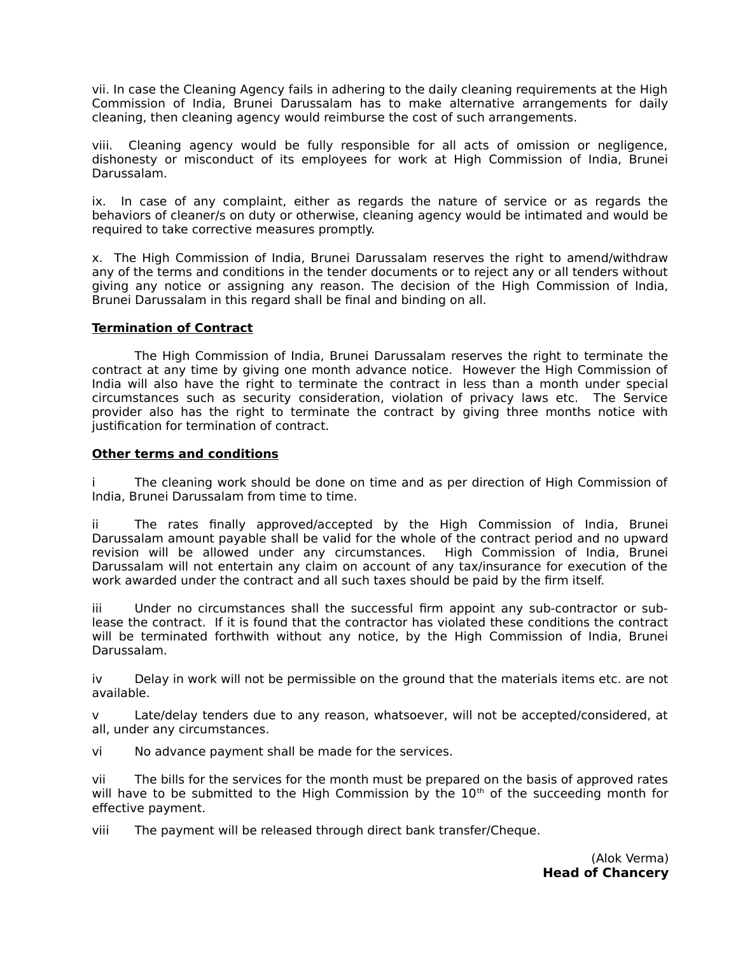vii. In case the Cleaning Agency fails in adhering to the daily cleaning requirements at the High Commission of India, Brunei Darussalam has to make alternative arrangements for daily cleaning, then cleaning agency would reimburse the cost of such arrangements.

viii. Cleaning agency would be fully responsible for all acts of omission or negligence, dishonesty or misconduct of its employees for work at High Commission of India, Brunei Darussalam.

ix. In case of any complaint, either as regards the nature of service or as regards the behaviors of cleaner/s on duty or otherwise, cleaning agency would be intimated and would be required to take corrective measures promptly.

x. The High Commission of India, Brunei Darussalam reserves the right to amend/withdraw any of the terms and conditions in the tender documents or to reject any or all tenders without giving any notice or assigning any reason. The decision of the High Commission of India, Brunei Darussalam in this regard shall be final and binding on all.

## **Termination of Contract**

The High Commission of India, Brunei Darussalam reserves the right to terminate the contract at any time by giving one month advance notice. However the High Commission of India will also have the right to terminate the contract in less than a month under special circumstances such as security consideration, violation of privacy laws etc. The Service provider also has the right to terminate the contract by giving three months notice with justification for termination of contract.

## **Other terms and conditions**

The cleaning work should be done on time and as per direction of High Commission of India, Brunei Darussalam from time to time.

ii The rates finally approved/accepted by the High Commission of India, Brunei Darussalam amount payable shall be valid for the whole of the contract period and no upward revision will be allowed under any circumstances. High Commission of India, Brunei Darussalam will not entertain any claim on account of any tax/insurance for execution of the work awarded under the contract and all such taxes should be paid by the firm itself.

iii Under no circumstances shall the successful firm appoint any sub-contractor or sublease the contract. If it is found that the contractor has violated these conditions the contract will be terminated forthwith without any notice, by the High Commission of India, Brunei Darussalam.

iv Delay in work will not be permissible on the ground that the materials items etc. are not available.

v Late/delay tenders due to any reason, whatsoever, will not be accepted/considered, at all, under any circumstances.

vi No advance payment shall be made for the services.

vii The bills for the services for the month must be prepared on the basis of approved rates will have to be submitted to the High Commission by the  $10<sup>th</sup>$  of the succeeding month for effective payment.

viii The payment will be released through direct bank transfer/Cheque.